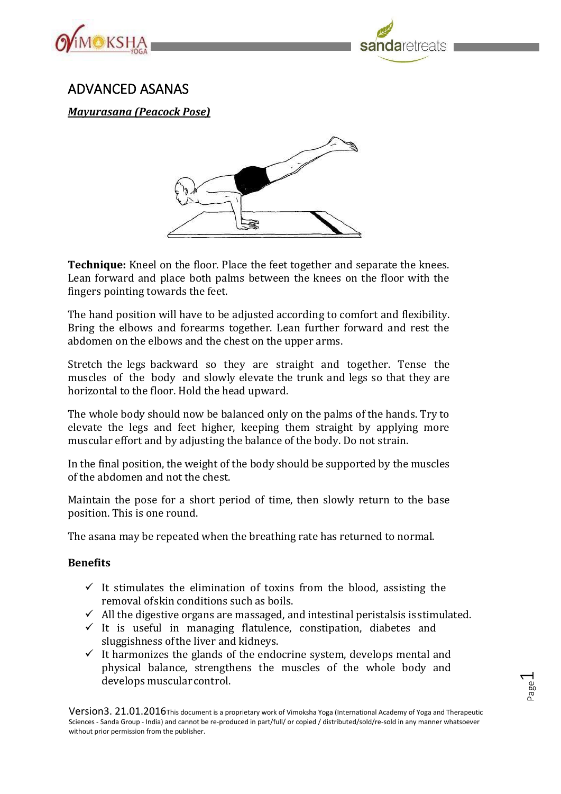



## ADVANCED ASANAS

*Mayurasana (Peacock Pose)*



**Technique:** Kneel on the floor. Place the feet together and separate the knees. Lean forward and place both palms between the knees on the floor with the fingers pointing towards the feet.

The hand position will have to be adjusted according to comfort and flexibility. Bring the elbows and forearms together. Lean further forward and rest the abdomen on the elbows and the chest on the upper arms.

Stretch the legs backward so they are straight and together. Tense the muscles of the body and slowly elevate the trunk and legs so that they are horizontal to the floor. Hold the head upward.

The whole body should now be balanced only on the palms of the hands. Try to elevate the legs and feet higher, keeping them straight by applying more muscular effort and by adjusting the balance of the body. Do not strain.

In the final position, the weight of the body should be supported by the muscles of the abdomen and not the chest.

Maintain the pose for a short period of time, then slowly return to the base position. This is one round.

The asana may be repeated when the breathing rate has returned to normal.

## **Benefits**

- $\checkmark$  It stimulates the elimination of toxins from the blood, assisting the removal ofskin conditions such as boils.
- $\checkmark$  All the digestive organs are massaged, and intestinal peristalsis is stimulated.
- ✓ It is useful in managing flatulence, constipation, diabetes and sluggishness ofthe liver and kidneys.
- $\checkmark$  It harmonizes the glands of the endocrine system, develops mental and physical balance, strengthens the muscles of the whole body and develops muscularcontrol.

Page  $\overline{\phantom{0}}$